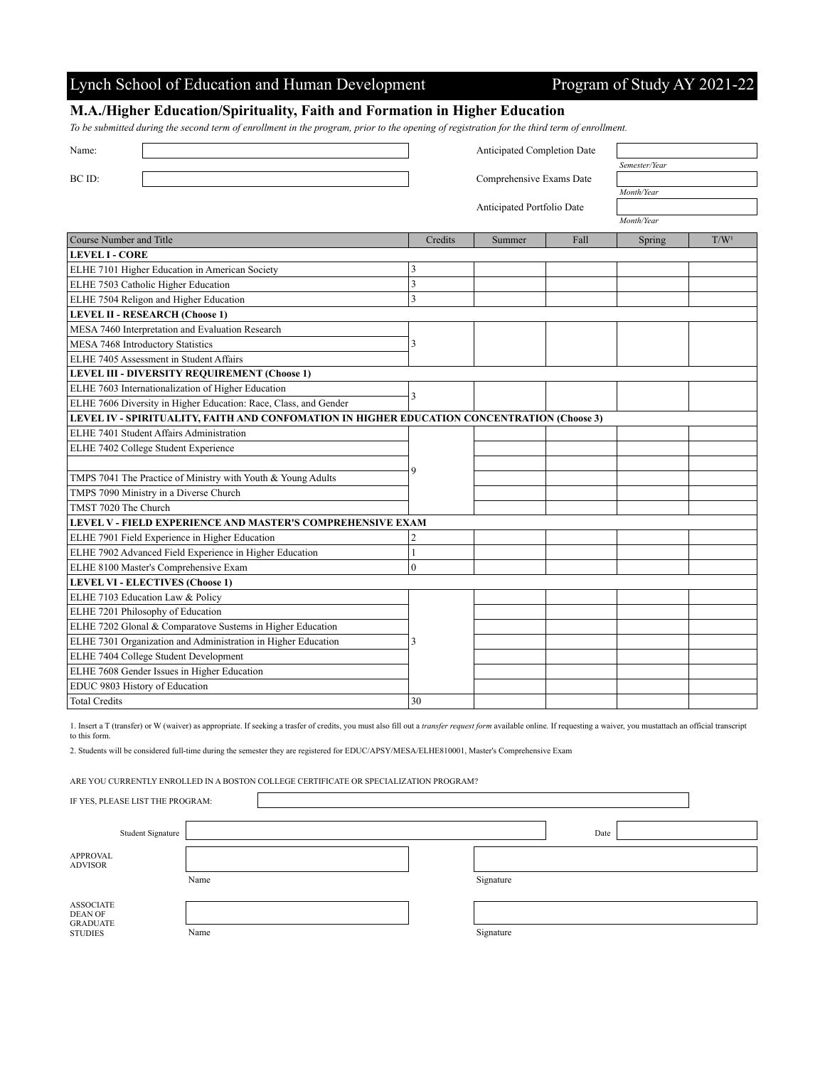## Lynch School of Education and Human Development Program of Study AY 2021-22

## **M.A./Higher Education/Spirituality, Faith and Formation in Higher Education**

*To be submitted during the second term of enrollment in the program, prior to the opening of registration for the third term of enrollment.*

| Name:                                                                                       | Anticipated Completion Date |        |      |               |                  |  |
|---------------------------------------------------------------------------------------------|-----------------------------|--------|------|---------------|------------------|--|
|                                                                                             |                             |        |      | Semester/Year |                  |  |
| BC ID:                                                                                      | Comprehensive Exams Date    |        |      |               |                  |  |
|                                                                                             |                             |        |      | Month/Year    |                  |  |
|                                                                                             | Anticipated Portfolio Date  |        |      |               |                  |  |
|                                                                                             |                             |        |      | Month/Year    |                  |  |
| Course Number and Title                                                                     | Credits                     | Summer | Fall | Spring        | T/W <sup>1</sup> |  |
| <b>LEVEL I - CORE</b>                                                                       |                             |        |      |               |                  |  |
| ELHE 7101 Higher Education in American Society                                              | 3                           |        |      |               |                  |  |
| ELHE 7503 Catholic Higher Education                                                         | $\overline{\mathbf{3}}$     |        |      |               |                  |  |
| ELHE 7504 Religon and Higher Education                                                      | 3                           |        |      |               |                  |  |
| <b>LEVEL II - RESEARCH (Choose 1)</b>                                                       |                             |        |      |               |                  |  |
| MESA 7460 Interpretation and Evaluation Research                                            |                             |        |      |               |                  |  |
| MESA 7468 Introductory Statistics                                                           | 3                           |        |      |               |                  |  |
| ELHE 7405 Assessment in Student Affairs                                                     |                             |        |      |               |                  |  |
| LEVEL III - DIVERSITY REQUIREMENT (Choose 1)                                                |                             |        |      |               |                  |  |
| ELHE 7603 Internationalization of Higher Education                                          |                             |        |      |               |                  |  |
| ELHE 7606 Diversity in Higher Education: Race, Class, and Gender                            | 3                           |        |      |               |                  |  |
| LEVEL IV - SPIRITUALITY, FAITH AND CONFOMATION IN HIGHER EDUCATION CONCENTRATION (Choose 3) |                             |        |      |               |                  |  |
| ELHE 7401 Student Affairs Administration                                                    |                             |        |      |               |                  |  |
| ELHE 7402 College Student Experience                                                        |                             |        |      |               |                  |  |
|                                                                                             | 9                           |        |      |               |                  |  |
| TMPS 7041 The Practice of Ministry with Youth & Young Adults                                |                             |        |      |               |                  |  |
| TMPS 7090 Ministry in a Diverse Church                                                      |                             |        |      |               |                  |  |
| TMST 7020 The Church                                                                        |                             |        |      |               |                  |  |
| LEVEL V - FIELD EXPERIENCE AND MASTER'S COMPREHENSIVE EXAM                                  |                             |        |      |               |                  |  |
| ELHE 7901 Field Experience in Higher Education                                              | $\overline{c}$              |        |      |               |                  |  |
| ELHE 7902 Advanced Field Experience in Higher Education                                     | $\mathbf{1}$                |        |      |               |                  |  |
| ELHE 8100 Master's Comprehensive Exam                                                       | $\mathbf{0}$                |        |      |               |                  |  |
| <b>LEVEL VI - ELECTIVES (Choose 1)</b>                                                      |                             |        |      |               |                  |  |
| ELHE 7103 Education Law & Policy                                                            |                             |        |      |               |                  |  |
| ELHE 7201 Philosophy of Education                                                           |                             |        |      |               |                  |  |
| ELHE 7202 Glonal & Comparatove Sustems in Higher Education                                  |                             |        |      |               |                  |  |
| ELHE 7301 Organization and Administration in Higher Education                               | 3                           |        |      |               |                  |  |
| ELHE 7404 College Student Development                                                       |                             |        |      |               |                  |  |
| ELHE 7608 Gender Issues in Higher Education                                                 |                             |        |      |               |                  |  |
| EDUC 9803 History of Education                                                              |                             |        |      |               |                  |  |
| <b>Total Credits</b>                                                                        | 30                          |        |      |               |                  |  |

1. Insert a T (transfer) or W (waiver) as appropriate. If seeking a trasfer of credits, you must also fill out a *transfer request form* available online. If requesting a waiver, you mustattach an official transcript to this form.

2. Students will be considered full-time during the semester they are registered for EDUC/APSY/MESA/ELHE810001, Master's Comprehensive Exam

ARE YOU CURRENTLY ENROLLED IN A BOSTON COLLEGE CERTIFICATE OR SPECIALIZATION PROGRAM?

Ì

| IF YES, PLEASE LIST THE PROGRAM:               |                   |      |  |  |  |           |      |  |  |
|------------------------------------------------|-------------------|------|--|--|--|-----------|------|--|--|
|                                                | Student Signature |      |  |  |  |           | Date |  |  |
| APPROVAL<br><b>ADVISOR</b>                     |                   |      |  |  |  |           |      |  |  |
|                                                |                   | Name |  |  |  | Signature |      |  |  |
| <b>ASSOCIATE</b><br>DEAN OF<br><b>GRADUATE</b> |                   |      |  |  |  |           |      |  |  |
| <b>STUDIES</b>                                 |                   | Name |  |  |  | Signature |      |  |  |